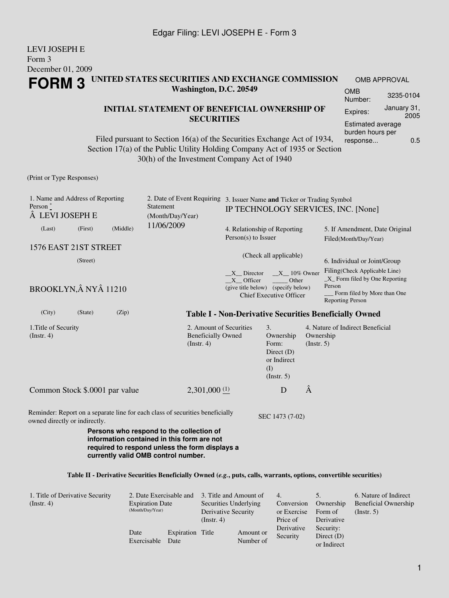#### LEVI JOSEPH E Form 3 December 01, 2009 **FORM 3 UNITED STATES SECURITIES AND EXCHANGE COMMISSION Washington, D.C. 20549** OMB APPROVAL OMB Number: 3235-0104

#### **INITIAL STATEMENT OF BENEFICIAL OWNERSHIP OF SECURITIES**

Filed pursuant to Section 16(a) of the Securities Exchange Act of 1934, Section 17(a) of the Public Utility Holding Company Act of 1935 or Section 30(h) of the Investment Company Act of 1940

(Print or Type Responses)

| 1. Name and Address of Reporting<br>Person $\degree$<br>LEVI JOSEPH E                                          | 2. Date of Event Requiring 3. Issuer Name and Ticker or Trading Symbol<br>Statement                                                                                             |                                                                   |                                                                                     |                          | IP TECHNOLOGY SERVICES, INC. [None]                                                                                                                                  |
|----------------------------------------------------------------------------------------------------------------|---------------------------------------------------------------------------------------------------------------------------------------------------------------------------------|-------------------------------------------------------------------|-------------------------------------------------------------------------------------|--------------------------|----------------------------------------------------------------------------------------------------------------------------------------------------------------------|
| (Middle)<br>(First)<br>(Last)<br>1576 EAST 21ST STREET                                                         | (Month/Day/Year)<br>11/06/2009                                                                                                                                                  | 4. Relationship of Reporting<br>$Person(s)$ to Issuer             |                                                                                     |                          | 5. If Amendment, Date Original<br>Filed(Month/Day/Year)                                                                                                              |
| (Street)<br>BROOKLYN, NY 11210                                                                                 |                                                                                                                                                                                 | $X$ Director<br>$X$ Officer<br>(give title below) (specify below) | (Check all applicable)<br>$X_10\%$ Owner<br>Other<br><b>Chief Executive Officer</b> |                          | 6. Individual or Joint/Group<br>Filing(Check Applicable Line)<br>$X$ Form filed by One Reporting<br>Person<br>Form filed by More than One<br><b>Reporting Person</b> |
| (City)<br>(State)<br>(Zip)                                                                                     |                                                                                                                                                                                 |                                                                   |                                                                                     |                          | <b>Table I - Non-Derivative Securities Beneficially Owned</b>                                                                                                        |
| 1. Title of Security<br>$($ Instr. 4 $)$                                                                       | 2. Amount of Securities<br><b>Beneficially Owned</b><br>(Insert. 4)                                                                                                             |                                                                   | 3.<br>Ownership<br>Form:<br>Direct $(D)$<br>or Indirect<br>(I)<br>(Insert. 5)       | Ownership<br>(Insert. 5) | 4. Nature of Indirect Beneficial                                                                                                                                     |
| Common Stock \$.0001 par value                                                                                 | $2,301,000$ (1)                                                                                                                                                                 |                                                                   | D                                                                                   | Â                        |                                                                                                                                                                      |
| Reminder: Report on a separate line for each class of securities beneficially<br>owned directly or indirectly. | Persons who respond to the collection of<br>information contained in this form are not<br>required to respond unless the form displays a<br>currently valid OMB control number. |                                                                   | SEC 1473 (7-02)                                                                     |                          |                                                                                                                                                                      |
|                                                                                                                | Table II - Derivative Securities Beneficially Owned (e.g., puts, calls, warrants, options, convertible securities)                                                              |                                                                   |                                                                                     |                          |                                                                                                                                                                      |

| 1. Title of Derivative Security<br>$($ Instr. 4 $)$ | 2. Date Exercisable and<br><b>Expiration Date</b><br>(Month/Day/Year) |                          | 3. Title and Amount of<br>Securities Underlying<br>Derivative Security<br>$($ Instr. 4 $)$ |                        | 4.<br>Conversion<br>or Exercise<br>Price of | Ownership<br>Form of<br>Derivative       | 6. Nature of Indirect<br>Beneficial Ownership<br>$($ Instr. 5 $)$ |
|-----------------------------------------------------|-----------------------------------------------------------------------|--------------------------|--------------------------------------------------------------------------------------------|------------------------|---------------------------------------------|------------------------------------------|-------------------------------------------------------------------|
|                                                     | Date<br>Exercisable                                                   | Expiration Title<br>Date |                                                                                            | Amount or<br>Number of | Derivative<br>Security                      | Security:<br>Direct $(D)$<br>or Indirect |                                                                   |

Expires: January 31,

Estimated average burden hours per response... 0.5

2005